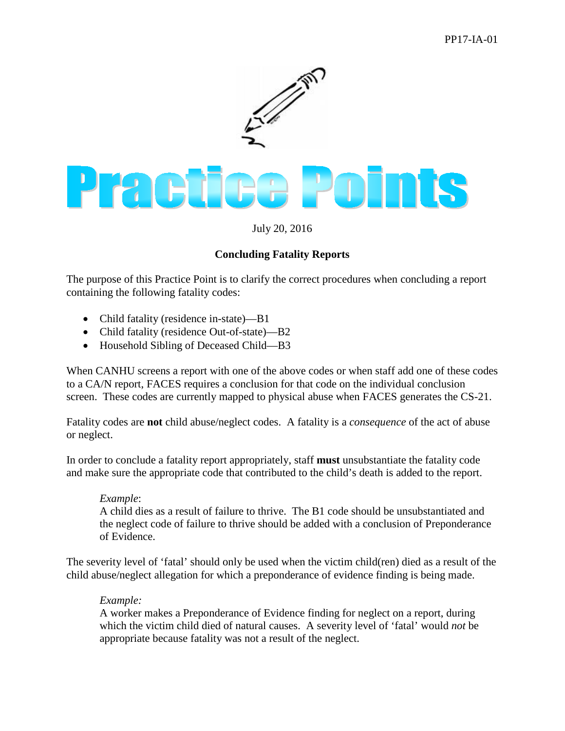

July 20, 2016

## **Concluding Fatality Reports**

The purpose of this Practice Point is to clarify the correct procedures when concluding a report containing the following fatality codes:

- Child fatality (residence in-state)—B1
- Child fatality (residence Out-of-state)—B2
- Household Sibling of Deceased Child—B3

When CANHU screens a report with one of the above codes or when staff add one of these codes to a CA/N report, FACES requires a conclusion for that code on the individual conclusion screen. These codes are currently mapped to physical abuse when FACES generates the CS-21.

Fatality codes are **not** child abuse/neglect codes. A fatality is a *consequence* of the act of abuse or neglect.

In order to conclude a fatality report appropriately, staff **must** unsubstantiate the fatality code and make sure the appropriate code that contributed to the child's death is added to the report.

## *Example*:

A child dies as a result of failure to thrive. The B1 code should be unsubstantiated and the neglect code of failure to thrive should be added with a conclusion of Preponderance of Evidence.

The severity level of 'fatal' should only be used when the victim child(ren) died as a result of the child abuse/neglect allegation for which a preponderance of evidence finding is being made.

## *Example:*

A worker makes a Preponderance of Evidence finding for neglect on a report, during which the victim child died of natural causes. A severity level of 'fatal' would *not* be appropriate because fatality was not a result of the neglect.